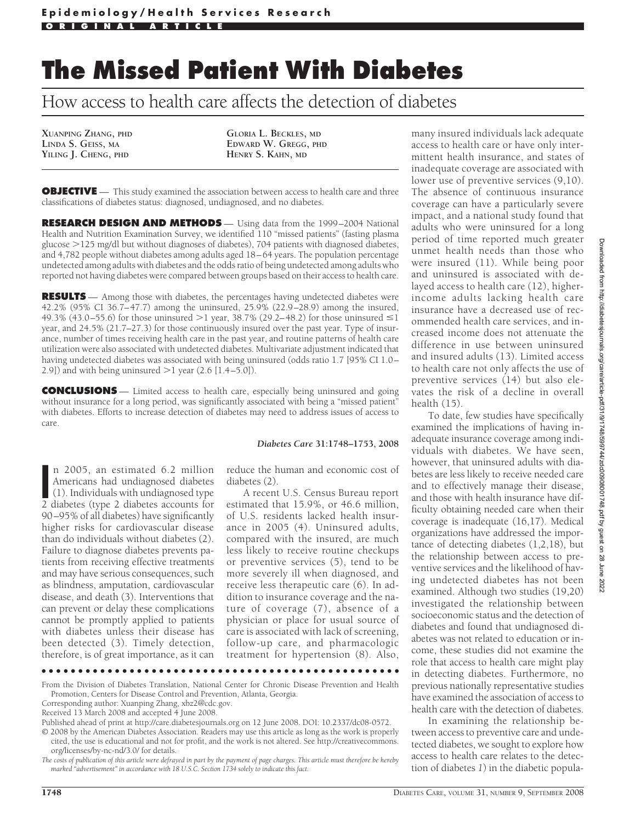# **The Missed Patient With Diabetes**

How access to health care affects the detection of diabetes

**XUANPING ZHANG, PHD LINDA S. GEISS, MA YILING J. CHENG, PHD**

**GLORIA L. BECKLES, MD EDWARD W. GREGG, PHD HENRY S. KAHN, MD**

**OBJECTIVE** — This study examined the association between access to health care and three classifications of diabetes status: diagnosed, undiagnosed, and no diabetes.

**RESEARCH DESIGN AND METHODS** — Using data from the 1999-2004 National Health and Nutrition Examination Survey, we identified 110 "missed patients" (fasting plasma glucose 125 mg/dl but without diagnoses of diabetes), 704 patients with diagnosed diabetes, and 4,782 people without diabetes among adults aged 18–64 years. The population percentage undetected among adults with diabetes and the odds ratio of being undetected among adults who reported not having diabetes were compared between groups based on their access to health care.

**RESULTS** — Among those with diabetes, the percentages having undetected diabetes were 42.2% (95% CI 36.7–47.7) among the uninsured, 25.9% (22.9–28.9) among the insured, 49.3% (43.0–55.6) for those uninsured  $>1$  year, 38.7% (29.2–48.2) for those uninsured  $\leq 1$ year, and 24.5% (21.7–27.3) for those continuously insured over the past year. Type of insurance, number of times receiving health care in the past year, and routine patterns of health care utilization were also associated with undetected diabetes. Multivariate adjustment indicated that having undetected diabetes was associated with being uninsured (odds ratio 1.7 [95% CI 1.0– 2.9]) and with being uninsured  $>1$  year (2.6 [1.4–5.0]).

**CONCLUSIONS** — Limited access to health care, especially being uninsured and going without insurance for a long period, was significantly associated with being a "missed patient" with diabetes. Efforts to increase detection of diabetes may need to address issues of access to care.

#### *Diabetes Care* **31:1748–1753, 2008**

In 2005, an estimated 6.2 million<br>Americans had undiagnosed diabetes<br>(1). Individuals with undiagnosed type<br>2 diabetes (type 2 diabetes accounts for n 2005, an estimated 6.2 million Americans had undiagnosed diabetes (1). Individuals with undiagnosed type 90–95% of all diabetes) have significantly higher risks for cardiovascular disease than do individuals without diabetes (2). Failure to diagnose diabetes prevents patients from receiving effective treatments and may have serious consequences, such as blindness, amputation, cardiovascular disease, and death (3). Interventions that can prevent or delay these complications cannot be promptly applied to patients with diabetes unless their disease has been detected (3). Timely detection, therefore, is of great importance, as it can

reduce the human and economic cost of diabetes (2).

A recent U.S. Census Bureau report estimated that 15.9%, or 46.6 million, of U.S. residents lacked health insurance in 2005 (4). Uninsured adults, compared with the insured, are much less likely to receive routine checkups or preventive services (5), tend to be more severely ill when diagnosed, and receive less therapeutic care (6). In addition to insurance coverage and the nature of coverage (7), absence of a physician or place for usual source of care is associated with lack of screening, follow-up care, and pharmacologic treatment for hypertension (8). Also,

●●●●●●●●●●●●●●●●●●●●●●●●●●●●●●●●●●●●●●●●●●●●●●●●●

many insured individuals lack adequate access to health care or have only intermittent health insurance, and states of inadequate coverage are associated with lower use of preventive services (9,10). The absence of continuous insurance coverage can have a particularly severe impact, and a national study found that adults who were uninsured for a long period of time reported much greater unmet health needs than those who were insured (11). While being poor and uninsured is associated with delayed access to health care (12), higherincome adults lacking health care insurance have a decreased use of recommended health care services, and increased income does not attenuate the difference in use between uninsured and insured adults (13). Limited access to health care not only affects the use of preventive services (14) but also elevates the risk of a decline in overall health (15).

To date, few studies have specifically examined the implications of having inadequate insurance coverage among individuals with diabetes. We have seen, however, that uninsured adults with diabetes are less likely to receive needed care and to effectively manage their disease, and those with health insurance have difficulty obtaining needed care when their coverage is inadequate (16,17). Medical organizations have addressed the importance of detecting diabetes (1,2,18), but the relationship between access to preventive services and the likelihood of having undetected diabetes has not been examined. Although two studies (19,20) investigated the relationship between socioeconomic status and the detection of diabetes and found that undiagnosed diabetes was not related to education or income, these studies did not examine the role that access to health care might play in detecting diabetes. Furthermore, no previous nationally representative studies have examined the association of access to health care with the detection of diabetes.

In examining the relationship between access to preventive care and undetected diabetes, we sought to explore how access to health care relates to the detection of diabetes *1*) in the diabetic popula-

From the Division of Diabetes Translation, National Center for Chronic Disease Prevention and Health Promotion, Centers for Disease Control and Prevention, Atlanta, Georgia.

Corresponding author: Xuanping Zhang, xbz2@cdc.gov.

Received 13 March 2008 and accepted 4 June 2008.

Published ahead of print at http://care.diabetesjournals.org on 12 June 2008. DOI: 10.2337/dc08-0572.

<sup>© 2008</sup> by the American Diabetes Association. Readers may use this article as long as the work is properly cited, the use is educational and not for profit, and the work is not altered. See http://creativecommons. org/licenses/by-nc-nd/3.0/ for details.

*The costs of publication of this article were defrayed in part by the payment of page charges. This article must therefore be hereby marked "advertisement" in accordance with 18 U.S.C. Section 1734 solely to indicate this fact.*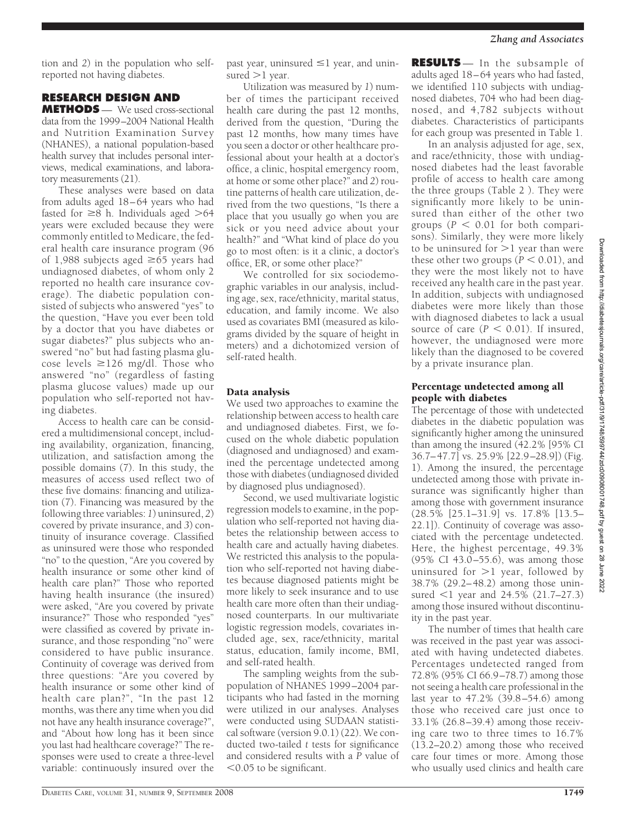tion and *2*) in the population who selfreported not having diabetes.

# **RESEARCH DESIGN AND**

**METHODS** — We used cross-sectional data from the 1999–2004 National Health and Nutrition Examination Survey (NHANES), a national population-based health survey that includes personal interviews, medical examinations, and laboratory measurements (21).

These analyses were based on data from adults aged 18–64 years who had fasted for  $\geq 8$  h. Individuals aged  $> 64$ years were excluded because they were commonly entitled to Medicare, the federal health care insurance program (96 of 1,988 subjects aged  $\geq$ 65 years had undiagnosed diabetes, of whom only 2 reported no health care insurance coverage). The diabetic population consisted of subjects who answered "yes" to the question, "Have you ever been told by a doctor that you have diabetes or sugar diabetes?" plus subjects who answered "no" but had fasting plasma glucose levels  $\geq$ 126 mg/dl. Those who answered "no" (regardless of fasting plasma glucose values) made up our population who self-reported not having diabetes.

Access to health care can be considered a multidimensional concept, including availability, organization, financing, utilization, and satisfaction among the possible domains (7). In this study, the measures of access used reflect two of these five domains: financing and utilization (7). Financing was measured by the following three variables: *1*) uninsured, *2*) covered by private insurance, and *3*) continuity of insurance coverage. Classified as uninsured were those who responded "no" to the question, "Are you covered by health insurance or some other kind of health care plan?" Those who reported having health insurance (the insured) were asked, "Are you covered by private insurance?" Those who responded "yes" were classified as covered by private insurance, and those responding "no" were considered to have public insurance. Continuity of coverage was derived from three questions: "Are you covered by health insurance or some other kind of health care plan?", "In the past 12 months, was there any time when you did not have any health insurance coverage?", and "About how long has it been since you last had healthcare coverage?" The responses were used to create a three-level variable: continuously insured over the

past year, uninsured  $\leq$ 1 year, and uninsured  $>1$  year.

Utilization was measured by *1*) number of times the participant received health care during the past 12 months, derived from the question, "During the past 12 months, how many times have you seen a doctor or other healthcare professional about your health at a doctor's office, a clinic, hospital emergency room, at home or some other place?" and *2*) routine patterns of health care utilization, derived from the two questions, "Is there a place that you usually go when you are sick or you need advice about your health?" and "What kind of place do you go to most often: is it a clinic, a doctor's office, ER, or some other place?"

We controlled for six sociodemographic variables in our analysis, including age, sex, race/ethnicity, marital status, education, and family income. We also used as covariates BMI (measured as kilograms divided by the square of height in meters) and a dichotomized version of self-rated health.

# Data analysis

We used two approaches to examine the relationship between access to health care and undiagnosed diabetes. First, we focused on the whole diabetic population (diagnosed and undiagnosed) and examined the percentage undetected among those with diabetes (undiagnosed divided by diagnosed plus undiagnosed).

Second, we used multivariate logistic regression models to examine, in the population who self-reported not having diabetes the relationship between access to health care and actually having diabetes. We restricted this analysis to the population who self-reported not having diabetes because diagnosed patients might be more likely to seek insurance and to use health care more often than their undiagnosed counterparts. In our multivariate logistic regression models, covariates included age, sex, race/ethnicity, marital status, education, family income, BMI, and self-rated health.

The sampling weights from the subpopulation of NHANES 1999–2004 participants who had fasted in the morning were utilized in our analyses. Analyses were conducted using SUDAAN statistical software (version 9.0.1) (22). We conducted two-tailed *t* tests for significance and considered results with a *P* value of -0.05 to be significant.

**RESULTS** — In the subsample of adults aged 18–64 years who had fasted, we identified 110 subjects with undiagnosed diabetes, 704 who had been diagnosed, and 4,782 subjects without diabetes. Characteristics of participants for each group was presented in Table 1.

In an analysis adjusted for age, sex, and race/ethnicity, those with undiagnosed diabetes had the least favorable profile of access to health care among the three groups (Table 2 ). They were significantly more likely to be uninsured than either of the other two groups  $(P < 0.01$  for both comparisons). Similarly, they were more likely to be uninsured for  $>1$  year than were these other two groups  $(P < 0.01)$ , and they were the most likely not to have received any health care in the past year. In addition, subjects with undiagnosed diabetes were more likely than those with diagnosed diabetes to lack a usual source of care  $(P < 0.01)$ . If insured, however, the undiagnosed were more likely than the diagnosed to be covered by a private insurance plan.

## Percentage undetected among all people with diabetes

The percentage of those with undetected diabetes in the diabetic population was significantly higher among the uninsured than among the insured (42.2% [95% CI 36.7–47.7] vs. 25.9% [22.9–28.9]) (Fig. 1). Among the insured, the percentage undetected among those with private insurance was significantly higher than among those with government insurance (28.5% [25.1–31.9] vs. 17.8% [13.5– 22.1]). Continuity of coverage was associated with the percentage undetected. Here, the highest percentage, 49.3% (95% CI  $43.0 - 55.6$ ), was among those uninsured for  $>1$  year, followed by 38.7% (29.2–48.2) among those uninsured <1 year and 24.5% (21.7–27.3) among those insured without discontinuity in the past year.

The number of times that health care was received in the past year was associated with having undetected diabetes. Percentages undetected ranged from 72.8% (95% CI 66.9–78.7) among those not seeing a health care professional in the last year to 47.2% (39.8–54.6) among those who received care just once to 33.1% (26.8–39.4) among those receiving care two to three times to 16.7% (13.2–20.2) among those who received care four times or more. Among those who usually used clinics and health care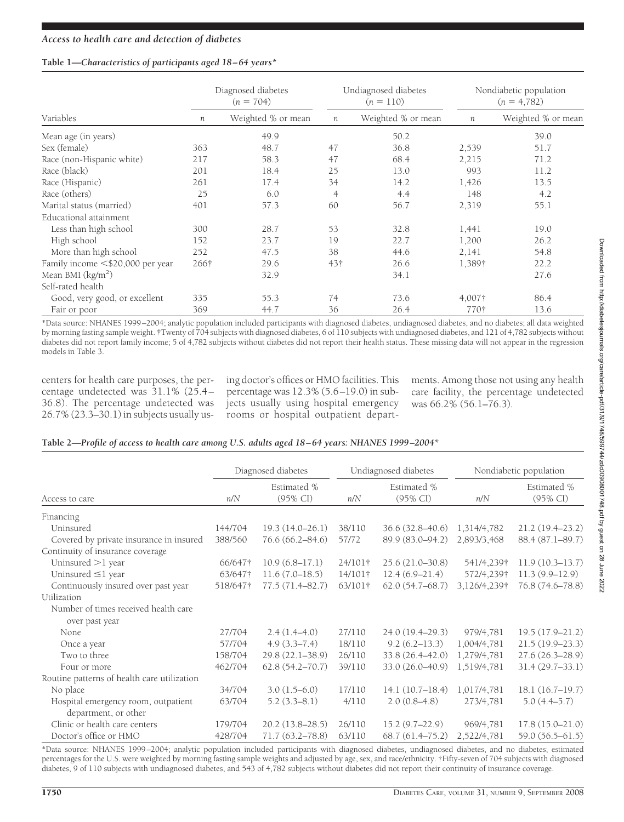#### **Table 1—***Characteristics of participants aged 18–64 years\**

|                                  |      | Diagnosed diabetes<br>$(n = 704)$ |                | Undiagnosed diabetes<br>$(n = 110)$ | Nondiabetic population<br>$(n = 4,782)$ |                    |
|----------------------------------|------|-----------------------------------|----------------|-------------------------------------|-----------------------------------------|--------------------|
| Variables                        | n    | Weighted % or mean                | n              | Weighted % or mean                  | $\boldsymbol{n}$                        | Weighted % or mean |
| Mean age (in years)              |      | 49.9                              |                | 50.2                                |                                         | 39.0               |
| Sex (female)                     | 363  | 48.7                              | 47             | 36.8                                | 2,539                                   | 51.7               |
| Race (non-Hispanic white)        | 217  | 58.3                              | 47             | 68.4                                | 2,215                                   | 71.2               |
| Race (black)                     | 201  | 18.4                              | 25             | 13.0                                | 993                                     | 11.2               |
| Race (Hispanic)                  | 261  | 17.4                              | 34             | 14.2                                | 1,426                                   | 13.5               |
| Race (others)                    | 25   | 6.0                               | $\overline{4}$ | 4.4                                 | 148                                     | 4.2                |
| Marital status (married)         | 401  | 57.3                              | 60             | 56.7                                | 2,319                                   | 55.1               |
| Educational attainment           |      |                                   |                |                                     |                                         |                    |
| Less than high school            | 300  | 28.7                              | 53             | 32.8                                | 1,441                                   | 19.0               |
| High school                      | 152  | 23.7                              | 19             | 22.7                                | 1,200                                   | 26.2               |
| More than high school            | 252  | 47.5                              | 38             | 44.6                                | 2,141                                   | 54.8               |
| Family income <\$20,000 per year | 266† | 29.6                              | 43†            | 26.6                                | 1,389†                                  | 22.2               |
| Mean BMI $(kg/m2)$               |      | 32.9                              |                | 34.1                                |                                         | 27.6               |
| Self-rated health                |      |                                   |                |                                     |                                         |                    |
| Good, very good, or excellent    | 335  | 55.3                              | 74             | 73.6                                | 4,007†                                  | 86.4               |
| Fair or poor                     | 369  | 44.7                              | 36             | 26.4                                | 770†                                    | 13.6               |

\*Data source: NHANES 1999–2004; analytic population included participants with diagnosed diabetes, undiagnosed diabetes, and no diabetes; all data weighted by morning fasting sample weight. †Twenty of 704 subjects with diagnosed diabetes, 6 of 110 subjects with undiagnosed diabetes, and 121 of 4,782 subjects without diabetes did not report family income; 5 of 4,782 subjects without diabetes did not report their health status. These missing data will not appear in the regression models in Table 3.

centers for health care purposes, the percentage undetected was 31.1% (25.4– 36.8). The percentage undetected was 26.7% (23.3–30.1) in subjects usually us-

ing doctor's offices or HMO facilities. This percentage was 12.3% (5.6–19.0) in subjects usually using hospital emergency rooms or hospital outpatient departments. Among those not using any health care facility, the percentage undetected was 66.2% (56.1–76.3).

## **Table 2—***Profile of access to health care among U.S. adults aged 18–64 years: NHANES 1999–2004\**

|                                             | Diagnosed diabetes |                                    |         | Undiagnosed diabetes               | Nondiabetic population |                                    |
|---------------------------------------------|--------------------|------------------------------------|---------|------------------------------------|------------------------|------------------------------------|
| Access to care                              | n/N                | Estimated %<br>$(95\% \text{ CI})$ | n/N     | Estimated %<br>$(95\% \text{ CI})$ | n/N                    | Estimated %<br>$(95\% \text{ CI})$ |
| Financing                                   |                    |                                    |         |                                    |                        |                                    |
| Uninsured                                   | 144/704            | $19.3(14.0 - 26.1)$                | 38/110  | $36.6(32.8 - 40.6)$                | 1,314/4,782            | $21.2(19.4 - 23.2)$                |
| Covered by private insurance in insured     | 388/560            | $76.6(66.2 - 84.6)$                | 57/72   | 89.9 (83.0-94.2)                   | 2,893/3,468            | 88.4 (87.1–89.7)                   |
| Continuity of insurance coverage            |                    |                                    |         |                                    |                        |                                    |
| Uninsured $>1$ year                         | 66/647†            | $10.9(6.8-17.1)$                   | 24/101† | $25.6(21.0 - 30.8)$                | 541/4,239†             | 11.9(10.3–13.7)                    |
| Uninsured $\leq$ 1 year                     | 63/647†            | $11.6(7.0-18.5)$                   | 14/101† | $12.4(6.9-21.4)$                   | 572/4,239†             | $11.3(9.9-12.9)$                   |
| Continuously insured over past year         | 518/647†           | $77.5(71.4 - 82.7)$                | 63/101† | $62.0(54.7 - 68.7)$                | 3,126/4,239†           | 76.8 (74.6–78.8)                   |
| Utilization                                 |                    |                                    |         |                                    |                        |                                    |
| Number of times received health care        |                    |                                    |         |                                    |                        |                                    |
| over past year                              |                    |                                    |         |                                    |                        |                                    |
| None                                        | 27/704             | $2.4(1.4-4.0)$                     | 27/110  | 24.0 (19.4-29.3)                   | 979/4,781              | $19.5(17.9 - 21.2)$                |
| Once a year                                 | 57/704             | $4.9(3.3 - 7.4)$                   | 18/110  | $9.2(6.2 - 13.3)$                  | 1,004/4,781            | 21.5 (19.9-23.3)                   |
| Two to three                                | 158/704            | $29.8(22.1 - 38.9)$                | 26/110  | $33.8(26.4 - 42.0)$                | 1,279/4,781            | $27.6(26.3 - 28.9)$                |
| Four or more                                | 462/704            | $62.8(54.2 - 70.7)$                | 39/110  | 33.0 (26.0-40.9)                   | 1,519/4,781            | $31.4(29.7-33.1)$                  |
| Routine patterns of health care utilization |                    |                                    |         |                                    |                        |                                    |
| No place                                    | 34/704             | $3.0(1.5-6.0)$                     | 17/110  | 14.1(10.7–18.4)                    | 1,017/4,781            | 18.1(16.7–19.7)                    |
| Hospital emergency room, outpatient         | 63/704             | $5.2(3.3-8.1)$                     | 4/110   | $2.0(0.8-4.8)$                     | 273/4,781              | $5.0(4.4-5.7)$                     |
| department, or other                        |                    |                                    |         |                                    |                        |                                    |
| Clinic or health care centers               | 179/704            | $20.2(13.8-28.5)$                  | 26/110  | $15.2(9.7-22.9)$                   | 969/4,781              | $17.8(15.0 - 21.0)$                |
| Doctor's office or HMO                      | 428/704            | $71.7(63.2 - 78.8)$                | 63/110  | $68.7(61.4 - 75.2)$                | 2,522/4,781            | 59.0 (56.5–61.5)                   |

\*Data source: NHANES 1999–2004; analytic population included participants with diagnosed diabetes, undiagnosed diabetes, and no diabetes; estimated percentages for the U.S. were weighted by morning fasting sample weights and adjusted by age, sex, and race/ethnicity. †Fifty-seven of 704 subjects with diagnosed diabetes, 9 of 110 subjects with undiagnosed diabetes, and 543 of 4,782 subjects without diabetes did not report their continuity of insurance coverage.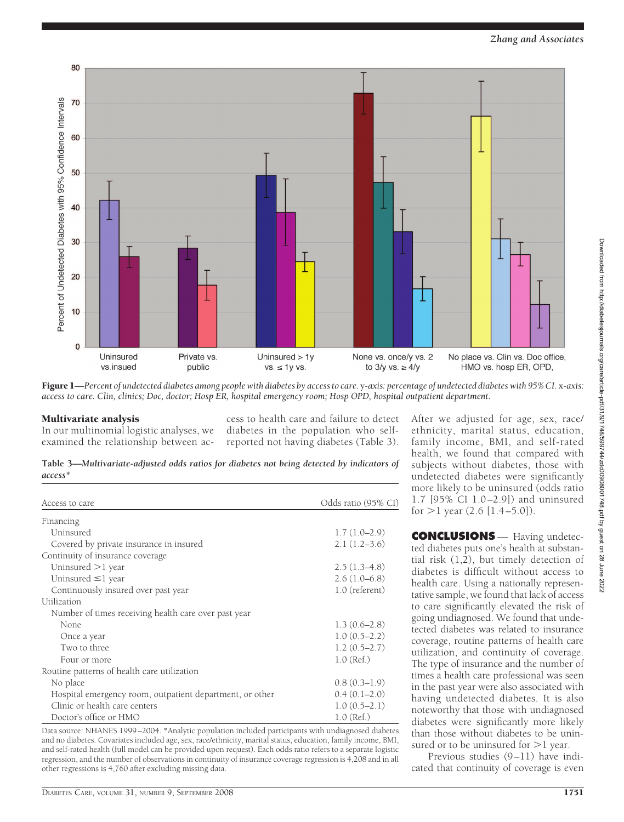



Figure 1—*Percent of undetected diabetes among people with diabetes by access to care.* y*-axis: percentage of undetected diabetes with 95% CI.* x*-axis: access to care. Clin, clinics; Doc, doctor; Hosp ER, hospital emergency room; Hosp OPD, hospital outpatient department.*

## Multivariate analysis

In our multinomial logistic analyses, we examined the relationship between access to health care and failure to detect diabetes in the population who selfreported not having diabetes (Table 3).

**Table 3—***Multivariate-adjusted odds ratios for diabetes not being detected by indicators of access\**

| Access to care                                           | Odds ratio (95% CI) |
|----------------------------------------------------------|---------------------|
| Financing                                                |                     |
| Uninsured                                                | $1.7(1.0-2.9)$      |
| Covered by private insurance in insured                  | $2.1(1.2-3.6)$      |
| Continuity of insurance coverage                         |                     |
| Uninsured $>1$ year                                      | $2.5(1.3-4.8)$      |
| Uninsured $\leq$ 1 year                                  | $2.6(1.0-6.8)$      |
| Continuously insured over past year                      | 1.0 (referent)      |
| Utilization                                              |                     |
| Number of times receiving health care over past year     |                     |
| None.                                                    | $1.3(0.6-2.8)$      |
| Once a year                                              | $1.0(0.5-2.2)$      |
| Two to three                                             | $1.2(0.5-2.7)$      |
| Four or more                                             | $1.0$ (Ref.)        |
| Routine patterns of health care utilization              |                     |
| No place                                                 | $0.8(0.3-1.9)$      |
| Hospital emergency room, outpatient department, or other | $0.4(0.1-2.0)$      |
| Clinic or health care centers                            | $1.0(0.5-2.1)$      |
| Doctor's office or HMO                                   | $1.0$ (Ref.)        |

Data source: NHANES 1999–2004. \*Analytic population included participants with undiagnosed diabetes and no diabetes. Covariates included age, sex, race/ethnicity, marital status, education, family income, BMI, and self-rated health (full model can be provided upon request). Each odds ratio refers to a separate logistic regression, and the number of observations in continuity of insurance coverage regression is 4,208 and in all other regressions is 4,760 after excluding missing data.

After we adjusted for age, sex, race/ ethnicity, marital status, education, family income, BMI, and self-rated health, we found that compared with subjects without diabetes, those with undetected diabetes were significantly more likely to be uninsured (odds ratio 1.7 [95% CI 1.0–2.9]) and uninsured for  $>1$  year (2.6 [1.4–5.0]).

**CONCLUSIONS** — Having undetected diabetes puts one's health at substantial risk  $(1,\overline{2})$ , but timely detection of diabetes is difficult without access to health care. Using a nationally representative sample, we found that lack of access to care significantly elevated the risk of going undiagnosed. We found that undetected diabetes was related to insurance coverage, routine patterns of health care utilization, and continuity of coverage. The type of insurance and the number of times a health care professional was seen in the past year were also associated with having undetected diabetes. It is also noteworthy that those with undiagnosed diabetes were significantly more likely than those without diabetes to be uninsured or to be uninsured for  $>1$  year.

Previous studies (9–11) have indicated that continuity of coverage is even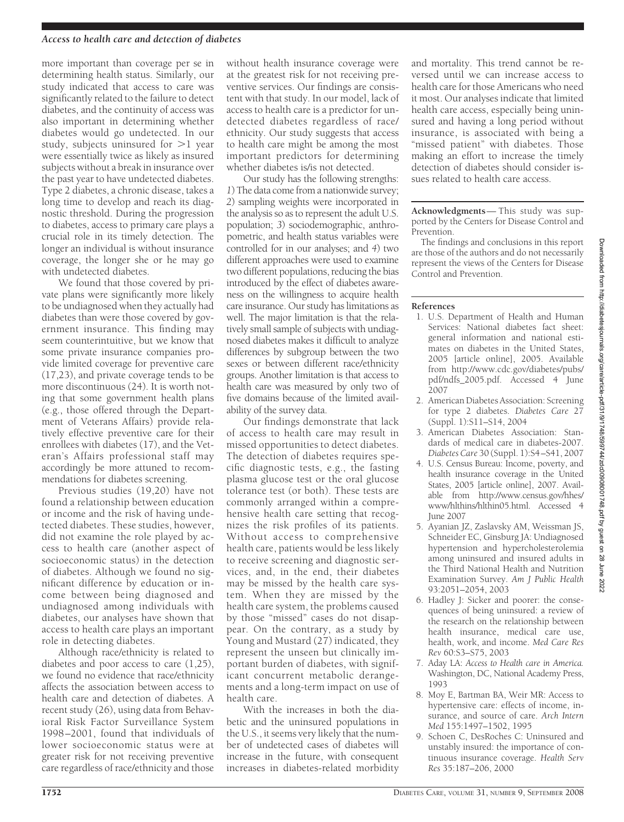#### *Access to health care and detection of diabetes*

more important than coverage per se in determining health status. Similarly, our study indicated that access to care was significantly related to the failure to detect diabetes, and the continuity of access was also important in determining whether diabetes would go undetected. In our study, subjects uninsured for  $>1$  year were essentially twice as likely as insured subjects without a break in insurance over the past year to have undetected diabetes. Type 2 diabetes, a chronic disease, takes a long time to develop and reach its diagnostic threshold. During the progression to diabetes, access to primary care plays a crucial role in its timely detection. The longer an individual is without insurance coverage, the longer she or he may go with undetected diabetes.

We found that those covered by private plans were significantly more likely to be undiagnosed when they actually had diabetes than were those covered by government insurance. This finding may seem counterintuitive, but we know that some private insurance companies provide limited coverage for preventive care (17,23), and private coverage tends to be more discontinuous (24). It is worth noting that some government health plans (e.g., those offered through the Department of Veterans Affairs) provide relatively effective preventive care for their enrollees with diabetes (17), and the Veteran's Affairs professional staff may accordingly be more attuned to recommendations for diabetes screening.

Previous studies (19,20) have not found a relationship between education or income and the risk of having undetected diabetes. These studies, however, did not examine the role played by access to health care (another aspect of socioeconomic status) in the detection of diabetes. Although we found no significant difference by education or income between being diagnosed and undiagnosed among individuals with diabetes, our analyses have shown that access to health care plays an important role in detecting diabetes.

Although race/ethnicity is related to diabetes and poor access to care (1,25), we found no evidence that race/ethnicity affects the association between access to health care and detection of diabetes. A recent study (26), using data from Behavioral Risk Factor Surveillance System 1998–2001, found that individuals of lower socioeconomic status were at greater risk for not receiving preventive care regardless of race/ethnicity and those

without health insurance coverage were at the greatest risk for not receiving preventive services. Our findings are consistent with that study. In our model, lack of access to health care is a predictor for undetected diabetes regardless of race/ ethnicity. Our study suggests that access to health care might be among the most important predictors for determining whether diabetes is/is not detected.

Our study has the following strengths: *1*) The data come from a nationwide survey; *2*) sampling weights were incorporated in the analysis so as to represent the adult U.S. population; *3*) sociodemographic, anthropometric, and health status variables were controlled for in our analyses; and *4*) two different approaches were used to examine two different populations, reducing the bias introduced by the effect of diabetes awareness on the willingness to acquire health care insurance. Our study has limitations as well. The major limitation is that the relatively small sample of subjects with undiagnosed diabetes makes it difficult to analyze differences by subgroup between the two sexes or between different race/ethnicity groups. Another limitation is that access to health care was measured by only two of five domains because of the limited availability of the survey data.

Our findings demonstrate that lack of access to health care may result in missed opportunities to detect diabetes. The detection of diabetes requires specific diagnostic tests, e.g., the fasting plasma glucose test or the oral glucose tolerance test (or both). These tests are commonly arranged within a comprehensive health care setting that recognizes the risk profiles of its patients. Without access to comprehensive health care, patients would be less likely to receive screening and diagnostic services, and, in the end, their diabetes may be missed by the health care system. When they are missed by the health care system, the problems caused by those "missed" cases do not disappear. On the contrary, as a study by Young and Mustard (27) indicated, they represent the unseen but clinically important burden of diabetes, with significant concurrent metabolic derangements and a long-term impact on use of health care.

With the increases in both the diabetic and the uninsured populations in the U.S., it seems very likely that the number of undetected cases of diabetes will increase in the future, with consequent increases in diabetes-related morbidity

and mortality. This trend cannot be reversed until we can increase access to health care for those Americans who need it most. Our analyses indicate that limited health care access, especially being uninsured and having a long period without insurance, is associated with being a "missed patient" with diabetes. Those making an effort to increase the timely detection of diabetes should consider issues related to health care access.

**Acknowledgments**— This study was supported by the Centers for Disease Control and Prevention.

The findings and conclusions in this report are those of the authors and do not necessarily represent the views of the Centers for Disease Control and Prevention.

#### **References**

- 1. U.S. Department of Health and Human Services: National diabetes fact sheet: general information and national estimates on diabetes in the United States, 2005 [article online], 2005. Available from http://www.cdc.gov/diabetes/pubs/ pdf/ndfs\_2005.pdf. Accessed 4 June 2007
- 2. American Diabetes Association: Screening for type 2 diabetes. *Diabetes Care* 27 (Suppl. 1):S11–S14, 2004
- 3. American Diabetes Association: Standards of medical care in diabetes-2007. *Diabetes Care* 30 (Suppl. 1):S4–S41, 2007
- 4. U.S. Census Bureau: Income, poverty, and health insurance coverage in the United States, 2005 [article online], 2007. Available from http://www.census.gov/hhes/ www/hlthins/hlthin05.html. Accessed 4 June 2007
- 5. Ayanian JZ, Zaslavsky AM, Weissman JS, Schneider EC, Ginsburg JA: Undiagnosed hypertension and hypercholesterolemia among uninsured and insured adults in the Third National Health and Nutrition Examination Survey. *Am J Public Health* 93:2051–2054, 2003
- 6. Hadley J: Sicker and poorer: the consequences of being uninsured: a review of the research on the relationship between health insurance, medical care use, health, work, and income. *Med Care Res Rev* 60:S3–S75, 2003
- 7. Aday LA: *Access to Health care in America.* Washington, DC, National Academy Press, 1993
- 8. Moy E, Bartman BA, Weir MR: Access to hypertensive care: effects of income, insurance, and source of care. *Arch Intern Med* 155:1497–1502, 1995
- 9. Schoen C, DesRoches C: Uninsured and unstably insured: the importance of continuous insurance coverage. *Health Serv Res* 35:187–206, 2000